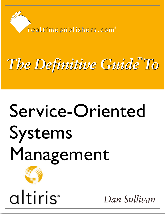

# *The Definitive Guide To* tm *The Definitive Guide To* tm

# Service-Oriented Systems Management



altiris<sup>®</sup>

Dan Suttivan *Dan Sullivan*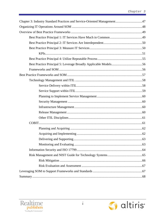| Chapter 3: Industry Standard Practices and Service-Oriented Management47 |  |
|--------------------------------------------------------------------------|--|
|                                                                          |  |
|                                                                          |  |
|                                                                          |  |
|                                                                          |  |
|                                                                          |  |
|                                                                          |  |
|                                                                          |  |
|                                                                          |  |
|                                                                          |  |
|                                                                          |  |
|                                                                          |  |
|                                                                          |  |
|                                                                          |  |
|                                                                          |  |
|                                                                          |  |
|                                                                          |  |
|                                                                          |  |
|                                                                          |  |
|                                                                          |  |
|                                                                          |  |
|                                                                          |  |
|                                                                          |  |
|                                                                          |  |
|                                                                          |  |
|                                                                          |  |
|                                                                          |  |
|                                                                          |  |
|                                                                          |  |
|                                                                          |  |



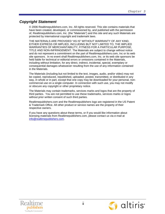#### *Copyright Statement*

© 2006 Realtimepublishers.com, Inc. All rights reserved. This site contains materials that have been created, developed, or commissioned by, and published with the permission of, Realtimepublishers.com, Inc. (the "Materials") and this site and any such Materials are protected by international copyright and trademark laws.

THE MATERIALS ARE PROVIDED "AS IS" WITHOUT WARRANTY OF ANY KIND, EITHER EXPRESS OR IMPLIED, INCLUDING BUT NOT LIMITED TO, THE IMPLIED WARRANTIES OF MERCHANTABILITY, FITNESS FOR A PARTICULAR PURPOSE, TITLE AND NON-INFRINGEMENT. The Materials are subject to change without notice and do not represent a commitment on the part of Realtimepublishers.com, Inc or its web site sponsors. In no event shall Realtimepublishers.com, Inc. or its web site sponsors be held liable for technical or editorial errors or omissions contained in the Materials, including without limitation, for any direct, indirect, incidental, special, exemplary or consequential damages whatsoever resulting from the use of any information contained in the Materials.

The Materials (including but not limited to the text, images, audio, and/or video) may not be copied, reproduced, republished, uploaded, posted, transmitted, or distributed in any way, in whole or in part, except that one copy may be downloaded for your personal, noncommercial use on a single computer. In connection with such use, you may not modify or obscure any copyright or other proprietary notice.

The Materials may contain trademarks, services marks and logos that are the property of third parties. You are not permitted to use these trademarks, services marks or logos without prior written consent of such third parties.

Realtimepublishers.com and the Realtimepublishers logo are registered in the US Patent & Trademark Office. All other product or service names are the property of their respective owners.

If you have any questions about these terms, or if you would like information about licensing materials from Realtimepublishers.com, please contact us via e-mail at [info@realtimepublishers.com](mailto:info@realtimepublishers.com).



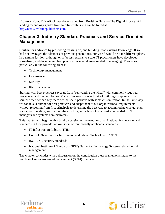<span id="page-3-0"></span>[**Editor's Note:** This eBook was downloaded from Realtime Nexus—The Digital Library. All leading technology guides from Realtimepublishers can be found at [http://nexus.realtimepublishers.com.](http://nexus.realtimepublishers.com/)]

# **Chapter 3: Industry Standard Practices and Service-Oriented Management**

Civilizations advance by preserving, passing on, and building upon existing knowledge. If we had not leveraged the advances of previous generations, our world would be a far different place. In a similar fashion, although on a far less expansive scale, IT practitioners have developed, formalized, and documented best practices in several areas related to managing IT services, particularly in the following arenas:

- Technology management
- Governance
- Security
- Risk management

Starting with best practices saves us from "reinventing the wheel" with commonly required procedures and methodologies. Many of us would never think of building computers from scratch when we can buy them off the shelf, perhaps with some customization. In the same way, we can take a number of best practices and adapt them to our organizational requirements without reasoning from first principals to determine the best way to accommodate change, plan for capital spending, secure the infrastructure, and a host of other tasks demanded of IT managers and systems administrators.

This chapter will begin with a brief discussion of the need for organizational frameworks and standards. It then provides an overview of four broadly applicable standards:

- IT Infrastructure Library (ITIL)
- Control Objectives for Information and related Technology (COBIT)
- ISO 17799 security standards
- National Institute of Standards (NIST) Guide for Technology Systems related to risk management

The chapter concludes with a discussion on the contribution these frameworks make to the practice of service-oriented management (SOM) practices.



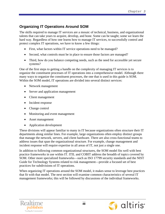# <span id="page-4-0"></span>**Organizing IT Operations Around SOM**

The skills required to manage IT services are a mosaic of technical, business, and organizational talents that can take years to acquire, develop, and hone. Some can be taught; some we learn the hard way. Regardless of how one learns how to manage IT services, to successfully control and protect complex IT operations, we have to know a few things:

- First, what factors within IT service operations need to be managed?
- Second, what controls must be in place to ensure those factors are managed?
- Third, how do you balance competing needs, such as the need for accessible yet secure systems?

One of the first steps to getting a handle on the complexity of managing IT services is to organize the constituent processes of IT operations into a comprehensive model. Although there many ways to organize the constituent processes, the one that is used in this guide is SOM. Within the SOM model, IT operations are divided into several distinct services:

- Network management
- Server and application management
- Client management
- Incident response
- Change control
- Monitoring and event management
- Asset management
- Application development

These divisions will appear familiar to many in IT because organizations often structure their IT departments along similar lines. For example, large organizations often employ distinct groups that manage the network, servers, and client hardware. There are also cross-functional teams to address issues that span the organizational structure. For example, change management and incident response will require expertise in all areas of IT, not just a single one.

In addition to following common organizational structures, the SOM model fits well with best practice frameworks in use within IT. ITIL and COBIT address the breadth of topics covered by SOM. Other more specialized frameworks—such as ISO 17799 security standards and the NIST Guide for Technology Systems related to risk management—provide a focused set of best practices for subdivisions of IT operations.

When organizing IT operations around the SOM model, it makes sense to leverage best practices that fit with that model. The next section will examine common characteristics of several IT management frameworks; this will be followed by discussions of the individual frameworks.



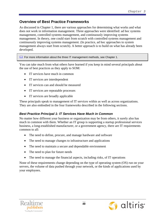### <span id="page-5-0"></span>**Overview of Best Practice Frameworks**

As discussed in Chapter 1, there are various approaches for determining what works and what does not work in information management. Three approaches were identified: ad hoc systems management, controlled systems management, and continuously improving systems management. In theory, one could start from scratch with controlled systems management and continuously improving systems management. (In practice, ad hoc approaches to system management always start from scratch). A better approach is to build on what has already been developed.

**EX** For more information about the three IT management methods, see Chapter 1.

You can take much from what others have learned if you keep in mind several principals about the use of best practices as they apply to SOM:

- IT services have much in common
- IT services are interdependent
- IT services can and should be measured
- IT services are repeatable processes
- IT services are broadly applicable

These principals speak to management of IT services within as well as across organizations. They are also embodied in the four frameworks described in the following sections.

#### *Best Practice Principal 1: IT Services Have Much in Common*

No matter how different your business or organization may be from others, it surely also has much in common with them. Whether an IT group is supporting a startup professional services business, a long-established manufacturer, or a government agency, there are IT requirements common to all:

- The need to define, procure, and manage hardware and software
- The need to manage changes to infrastructure and applications
- The need to maintain a secure and dependable environment
- The need to plan for future needs
- The need to manage the financial aspects, including risks, of IT operations

None of these requirements change depending on the type of operating system (OS) run on your servers, the volume of data pushed through your network, or the kinds of applications used by your employees.



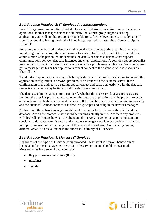#### <span id="page-6-0"></span>*Best Practice Principal 2: IT Services Are Interdependent*

Large IT organizations are often divided into specialized groups: one group supports network operations, another manages database administration, a third group supports desktop applications, and still another group is responsible for software development. This division of labor is essential to having the depth of knowledge required to master the different disciplines within IT.

For example, a network administrator might spend a fair amount of time learning a network monitoring tool that allows the administrator to analyze traffic at the packet level. A database administrator is the person that understands the details of database listeners that support communications between database instances and client applications. A desktop support specialist may be the first point of contact for an employee with a problematic application. So, when a user gets a message that his or her applications cannot connect to the database, who is responsible? They all are.

The desktop support specialist can probably quickly isolate the problem as having to do with the application configuration, a network problem, or an issue with the database server. If the configuration files and registry settings appear correct and basic connectivity with the database server is available, it may be time to call the database administrator.

The database administrator, in turn, can verify whether the necessary database processes are running, the user has proper authorization on the database application, and the proper protocols are configured on both the client and the server. If the database seems to be functioning properly and the client still cannot connect, it is time to dig deeper and bring in the network manager.

At this point, the network manager might want to monitor traffic between the client and the database. Are all the protocols that should be running actually in use? Are there any problems with firewalls or routers between the client and the server? Together, an application support specialist, a database administrator, and a network manager can diagnose problems that span multiple domains more effectively than if they worked in isolation. Coordinating among different areas is a crucial factor in the successful delivery of IT services.

#### *Best Practice Principal 3: Measure IT Services*

Regardless of the type of IT service being provided—whether it is network bandwidth or financial and project management services—the service can and should be measured. Measurements have several characteristics:

- Key performance indicators (KPIs)
- Baselines
- Trends



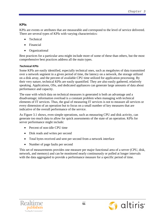#### <span id="page-7-0"></span>**KPIs**

KPIs are events or attributes that are measurable and correspond to the level of service delivered. There are several types of KPIs with varying characteristics:

- **Technical**
- Financial
- Organizational

Best practices for a particular area might include more of some of these than others, but the most comprehensive best practices address all the main types.

#### *Technical KPIs*

Some KPIs are easily identified, especially technical ones, such as megabytes of data transmitted over a network segment in a given period of time, the latency on a network, the storage utilized on a disk array, and the percent of available CPU time utilized for application processing. By their very nature, technical KPIs are easily quantified. They are also easily gathered, relatively speaking. Applications, OSs, and dedicated appliances can generate large amounts of data about performance and capacity.

The ease with which data on technical measures is generated is both an advantage and a disadvantage; information overload is a constant problem when managing with technical elements of IT services. Thus, the goal of measuring IT services is not to measure all services or every dimension of an operation but to focus on a small number of key measures that are indicative of the overall performance of the service.

As Figure 3.1 shows, even simple operations, such as measuring CPU and disk activity, can generate too much data to allow for quick assessments of the state of an operation. KPIs for server performance might include:

- Percent of non-idle CPU time
- Disk reads and writes per second
- Total bytes received and sent per second from a network interface
- Number of page faults per second

This set of measurements provides one measure per major functional area of a server (CPU, disk, network, and memory) and can be monitored nearly continuously or polled at longer intervals with the data aggregated to provide a performance measure for a specific period of time.



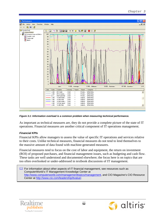

*Figure 3.1: Information overload is a common problem when measuring technical performance.* 

As important as technical measures are, they do not provide a complete picture of the state of IT operations. Financial measures are another critical component of IT operations management.

#### *Financial KPIs*

Financial KPIs allow managers to assess the value of specific IT operations and services relative to their costs. Unlike technical measures, financial measures do not tend to lend themselves to the massive amount of data found with machine-generated measures.

Financial measures tend to focus on the cost of labor and equipment, the return on investment (ROI) of proposed purchases, and financial management issues, such as budgeting and cash flow. These tasks are well understood and documented elsewhere; the focus here is on topics that are too often overlooked or under-addressed in textbook discussions of IT management.

**LA** For information about other aspects of IT financial management, see resources such as ComputerWorld's IT Management Knowledge Center at <http://www.computerworld.com/managementtopics/management>, and CIO Magazine's CIO Resource Center at <http://www.cio.com/leadership/itvalue/>.



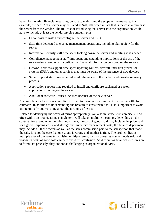When formulating financial measures, be sure to understand the scope of the measure. For example, the "cost" of a server may be stated as \$20,000, when in fact that is the cost to purchase the server from the vendor. The full cost of introducing that server into the organization would have to include at least the vendor invoice amount, plus:

- Labor costs to install and configure the server and its OS
- Staff time dedicated to change management operations, including plan review for the server
- Information security staff time spent locking down the server and auditing it as needed
- Compliance management staff time spent understanding implications of the use of the server—for example, will confidential financial information be stored on the server?
- Network services support time spent updating routers, firewall, intrusion prevention systems (IPSs), and other services that must be aware of the presence of new devices
- Server support staff time required to add the server to the backup and disaster recovery process
- Application support time required to install and configure packaged or custom applications running on the server
- Additional software licenses incurred because of the new server

Accurate financial measures are often difficult to formulate and, in reality, we often settle for estimates. In addition to understanding the breadth of costs related to IT, it is important to avoid unintentionally equivocating about the meaning of terms.

Related to identifying the scope of terms appropriately, you also must use terms precisely. Too often within an organization, a single term will take on multiple meanings, depending on the context. For example, to the sales department, the cost of goods sold may include the price paid for a good, shipping costs, and storage and inventory management costs; the finance department may include all those factors as well as the sales commission paid to the salesperson that made the sale. It is not the case that one group is wrong and another is right. The problem lies in multiple uses of the same term. Using multiple terms, such as pre-sales cost of goods sold and post-sales costs of good sold can help avoid this confusion. As difficult as financial measures are to formulate precisely, they are not as challenging as organizational KPIs.



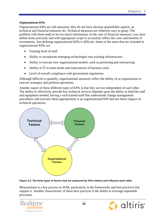#### *Organizational KPIs*

Organizational KPIs are soft measures; they do not have obvious quantifiable aspects, as technical and financial measures do. Technical measures are relatively easy to grasp. The problem with them tends to be too much information. In the case of financial measures, you must define terms precisely and with appropriate scope to accurately reflect the costs and benefits of investments. Just defining organizational KPIs is difficult. Some of the areas that are included in organizational KPIs are:

- Training level of staff
- Ability to incorporate emerging technologies into existing infrastructure
- Ability to execute new organizational models, such as partnering and outsourcing
- Ability of IT to meet needs and expectations of business units
- Level of overall compliance with government regulations

Although difficult to quantify, organizational measures reflect the ability of an organization to execute strategies and perform operations.

Another aspect of these different types of KPIs is that they are not independent of each other. The ability to effectively provide key technical services depends upon the ability to fund the staff and equipment needed; having a well-trained staff that understands change management procedures and executes them appropriately is an organizational KPI that has direct impact on technical operations.



*Figure 3.2: The three types of factors that are measured by KPIs interact and influence each other.* 

Measurement is a key process in SOM, particularly in the frameworks and best practices that support it. Another characteristic of these best practices is the ability to leverage repeatable processes.



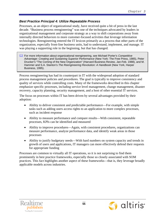#### <span id="page-11-0"></span>*Best Practice Principal 4: Utilize Repeatable Process*

Processes, as an object of organizational study, have received quite a bit of press in the last decade. "Business process reengineering" was one of the techniques advocated by leaders in organizational management and corporate strategy as a way to shift corporations away from internally directed behaviors to more customer-focused activities that leverage information technologies. Reengineering entered the IT lexicon primarily as a process that other parts of the organization, especially front-line business units, had to understand, implement, and manage. IT was playing a supporting role in the beginning, but that has changed.

 For more information about organizational reengineering, see Michael Porter's *Competitive Advantage: Creating and Sustaining Superior Performance* (New York: The Free Press, 1985), Peter Drucker's "The Coming of the New Organization" (Harvard Business Review, Jan-Feb. 1988), and M. Hammer and S.A. Stanton's *The Reengineering Revolution: A Handbook* (New York, Harper Business, 1995).

Process reengineering has had its counterpart in IT with the widespread adoption of standard process management policies and procedures. The goal is typically to improve consistency and quality of services while controlling costs. Many of the frameworks described in this chapter emphasize specific processes, including service level management, change management, disaster recovery, capacity planning, security management, and a host of other essential IT services.

The focus on processes within IT has been driven by several advantages provided by their adoption:

- Ability to deliver consistent and predictable performance—For example, with simple tasks such as adding users access rights to an application to more complex processes, such as incident response
- Ability to measure performance and compare results—With consistent, repeatable processes, KPIs can be identified and measured
- Ability to improve procedures—Again, with consistent procedures, organizations can measure performance, analyze performance data, and identify weak areas in those processes
- Ability to justify budgetary needs—With hard numbers on system capacity and trends in growth of users and applications, IT managers can more effectively defend their requests for appropriate funding

Processes are common to virtually all IT operations, so it is not surprising to find them prominently in best practice frameworks, especially those so closely associated with SOM practices. This fact highlights another aspect of these frameworks—that is, they leverage broadly applicable models across industries.



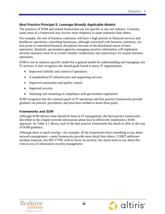#### <span id="page-12-0"></span>*Best Practice Principal 5: Leverage Broadly Applicable Models*

The practices of SOM and related frameworks are not specific to any one industry. Certainly, some areas of a framework may receive more emphasis in some industries than others.

For example, the role of business continuity will have a high priority in financial services and healthcare operations; consulting businesses, although concerned with business continuity, are less prone to centralized business disruptions because of the distributed nature of their operations. Similarly, government agencies managing sensitive information will implement security measures most of us would consider cumbersome and unnecessary for routine business operations.

SOM is not an industry-specific model but a general model for understanding and managing core IT services. It also recognizes the shared goals found in many IT organizations:

- Improved visibility and control of operations
- A standardized IT infrastructure and supporting services
- Improved automation and quality control
- Improved security
- Attaining and remaining in compliance with government regulations

SOM recognizes that the common goals of IT operations and best practice frameworks provide guidance on policies, procedures, and processes needed to attain those goals.

#### *Frameworks and SOM*

Although SOM defines what should be done in IT management, the best practice frameworks described in this chapter provide information about how to effectively implement a SOM approach. As Table 3.1 shows, each of the best practice frameworks has much to offer in the way of SOM guidance.

Although there is much overlap—for example, all the frameworks have something to say about network management—some frameworks provide more detail than others: COBIT addresses incident response, but ISO 17799, with its focus on security, has much more to say about this critical area of information security management.



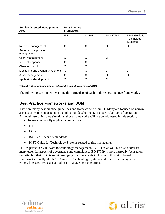<span id="page-13-0"></span>

| <b>Service Oriented Management</b><br>Area | <b>Best Practice</b><br><b>Framework</b> |              |           |                                         |
|--------------------------------------------|------------------------------------------|--------------|-----------|-----------------------------------------|
|                                            | <b>ITIL</b>                              | <b>COBIT</b> | ISO 17799 | NIST Guide for<br>Technology<br>Systems |
| Network management                         | X                                        | X            | X         | X                                       |
| Server and application<br>management       | X                                        | X            | X         |                                         |
| Client management                          | X                                        | X            | X         |                                         |
| Incident response                          | X                                        | X            |           |                                         |
| Change control                             | X                                        | X            |           |                                         |
| Monitoring and event management            | X                                        | X            | X         | X                                       |
| Asset management                           | X                                        | X            | X         | X                                       |
| Application development                    | X                                        | X            | X         |                                         |

*Table 3.1: Best practice frameworks address multiple areas of SOM.* 

The following section will examine the particulars of each of these best practice frameworks.

# **Best Practice Frameworks and SOM**

There are many best practice guidelines and frameworks within IT. Many are focused on narrow aspects of systems management, application development, or a particular type of operation. Although useful in some situations, those frameworks will not be addressed in this section, which focuses on broadly applicable guidelines:

- ITIL
- COBIT
- ISO 17799 security standards
- NIST Guide for Technology Systems related to risk management

ITIL is particularly relevant to technology management. COBIT is as well but also addresses many essential aspects of governance and compliance. ISO 17799 is more narrowly focused on security, but that topic is so wide-ranging that it warrants inclusion in this set of broad frameworks. Finally, the NIST Guide for Technology Systems addresses risk management, which, like security, spans all other IT management operations.



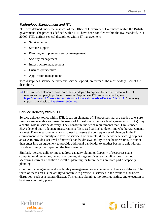#### <span id="page-14-0"></span>*Technology Management and ITIL*

ITIL was defined under the auspices of the Office of Government Commerce within the British government. The practices defined within ITIL have been codified within the ISO standard, ISO 20000. ITIL defines several disciplines within IT management:

- Service delivery
- Service support
- Planning to implement service management
- Security management
- Infrastructure management
- Business perspective
- Application management

Two disciplines, service delivery and service support, are perhaps the most widely used of the disciplines.

**ITIL** is an open standard, so it can be freely adopted by organizations. The content of the ITIL references is copyright protected, however. To purchase ITIL framework books, see [https://securewsch01.websitecomplete.com/itilsurvival/shop/showDept.asp?dept=17.](https://securewsch01.websitecomplete.com/itilsurvival/shop/showDept.asp?dept=17) Community support is available at<http://www.15000.net/>.

#### **Service Delivery within ITIL**

Service delivery topics within ITIL focus on elements of IT processes that are needed to ensure services are available and meet the needs of IT customers. Service level agreements (SLAs) play a central role in service delivery. They constitute the set of requirements that IT must meet. SLAs depend upon adequate measurements (discussed earlier) to determine whether agreements are met. These measurements are also used to assess the consequences of changes in the IT environment to the quality and level of service. For example, if the network services group has an SLA to provide a set level of network bandwidth availability to one business unit, it cannot then enter into an agreement to provide additional bandwidth to another business unit without first determining the impact on the first customer.

Similarly, service delivery must address capacity planning. Capacity of resources spans computational resources, network resources, storage services, and applications provided. Measuring current utilization as well as planning for future needs are both part of capacity planning.

Continuity management and availability management are also elements of service delivery. The focus of these areas is the ability to continue to provide IT services in the event of a business disruption, such as a natural disaster. This entails planning, monitoring, testing, and execution of business continuity plans.



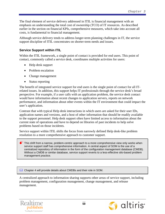<span id="page-15-0"></span>The final element of service delivery addressed in ITIL is financial management with an emphasis on understanding the total cost of ownership (TCO) of IT resources. As described earlier in the section on financial KPIs, comprehensive measures, which take into account all costs, is fundamental to financial management.

Although service delivery tends to address longer-term planning challenges in IT, the service support discipline of ITIL concentrates on shorter-term needs and issues.

#### **Service Support within ITIL**

Within the ITIL framework, a single point of contact is provided for end users. This point of contact, commonly called a service desk, coordinates multiple activities for users:

- Help desk support
- Problem escalation
- Change management
- Status reporting

The benefit of integrated service support for end users is the single point of contact for all ITrelated issues. In addition, this support helps IT professionals through the service desk's broad perspective. For example, if a user calls with an application problem, the service desk contact would have information about recent changes to application servers, reports on network performance, and information about other events within the IT environment that could impact the user's application.

Contrast that with typical Help desk interactions in which users are asked for their user IDs, application names and versions, and a host of other information that should be readily available to the support personnel. Help desk support often have limited access to information about the current state of operations and have to depend on libraries of past incidents to help solve problems based on those incidents.

Service support within ITIL shifts the focus from narrowly defined Help desk-like problem resolution to a more comprehensive approach to customer support.

 $\bullet$  This shift from a narrow, problem-centric approach to a more comprehensive view only works when service support staff has comprehensive information. A central aspect of SOM is the use of a centralized repository of information in the form of the configuration management database (CMDB). Without a CMDB or similar database, service support reverts to a less-effective silo-based problem management practice.

**Q** Chapter 4 will provide details about CMDBs and their role in SOM.

A centralized approach to information sharing supports other areas of service support, including problem management, configuration management, change management, and release management.



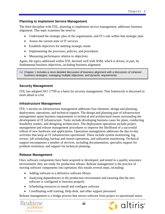#### <span id="page-16-0"></span>**Planning to Implement Service Management**

The third discipline with ITIL, planning to implement service management, addresses business alignment. This topic examines the need to:

- Understand the strategic plan of the organization, and IT's role within that strategic plan
- Assess the current state of IT services
- Establish objectives for meeting strategic needs
- Implementing the processes, policies, and procedures
- Measuring performance relative to objectives

Again, the topics addressed within ITIL dovetail well with SOM, which is driven, in part, by fundamental business objectives, including business alignment.

**Chapter 1 includes a more detailed discussion of business alignment with a discussion of coherent** business strategies, managing multiple objectives, and dynamic requirements.

#### **Security Management**

ITIL has adopted ISO 17799 as a basis for security management. That framework is discussed in more detail in a bit.

#### **Infrastructure Management**

ITIL's section on infrastructure management addresses four elements: design and planning, deployment, operations, and technical support. The design and planning part of infrastructure management spans business requirements to technical and architectural issues surrounding the development of IT infrastructure. Tasks include developing business cases for plans, conducting feasibility studies, and designing architectures. The deployment operations include project management and release management procedures to improve the likelihood of a successful rollout of new hardware and applications. Operations management addresses the day-to-day activities that keep an IT infrastructure operational. These include system monitoring, log review, job scheduling, backup and restore operations, and utilization monitoring. Technical support encompasses a number of services, including documentation, specialist support for problem resolution, and support for technical planning.

#### **Release Management**

Once software components have been acquired or developed, and tested in a quality assurance environment, they are ready for production release. Release management is the practice of moving software components into operation; this entails several steps, including:

- Adding software to a definitive software library
- Analyzing dependencies in the production environment and ensuring that the new software is configured to function properly
- Scheduling resources to install and configure software
- Coordinating with training, Help desk, and other support personnel

Release management is a bridge process that moves software from project to operational status.



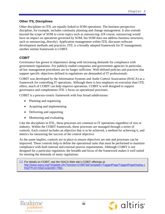#### <span id="page-17-0"></span>**Other ITIL Disciplines**

Other disciplines in ITIL are equally linked to SOM operations. The business perspective discipline, for example, includes continuity planning and change management. It also extends beyond the scope of SOM to cover topics such as outsourcing. (Of course, outsourcing would have an impact on operations governed by SOM, but SOM does not address business structures, such as outsourcing, directly). Application management within ITIL discusses software development methods and practices. ITIL is a broadly adopted framework for IT management; another similar framework is COBIT.

#### *COBIT*

Governance has grown in importance along with increasing demands for compliance with government regulations. For publicly traded companies and government agencies in particular, ad hoc management procedures are no longer sufficient. Well-defined policies and practices that support specific objectives defined in regulations are demanded of IT professionals.

COBIT was developed by the Information Systems and Audit Control Association (ISACA) as a framework for controlling IT operations. Although there is less emphasis on execution than ITIL offers, much of COBIT can help improve operations. COBIT is well designed to support governance and complements ITIL's focus on operational processes.

COBIT is a process-centric framework with four broad subdivisions:

- Planning and organizing
- Acquiring and implementing
- Delivering and supporting
- Monitoring and evaluating

Like the disciplines in ITIL, these processes are common to IT operations regardless of size or industry. Within the COBIT framework, these processes are managed through a series of controls. Each control includes an objective that is to be achieved, a method for achieving it, and metrics for measuring the success of the control objective.

As the name implies, controls are in place to ensure objectives are met and processes can be improved. These controls help to define the operational tasks that must be performed to maintain compliance with both internal and external process requirements. Although COBIT is not designed for a particular regulation, the breadth and focus of the framework makes it well suited for meeting the demands of many regulations.

**E** For details on COBIT, see the ISACA Web site's COBIT offerings at [http://www.isaca.org/Template.cfm?Section=COBIT6&Template=/TaggedPage/TaggedPageDisplay.c](http://www.isaca.org/Template.cfm?Section=COBIT6&Template=/TaggedPage/TaggedPageDisplay.cfm&TPLID=55&ContentID=7981) [fm&TPLID=55&ContentID=7981.](http://www.isaca.org/Template.cfm?Section=COBIT6&Template=/TaggedPage/TaggedPageDisplay.cfm&TPLID=55&ContentID=7981)



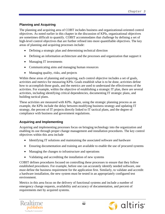#### <span id="page-18-0"></span>**Planning and Acquiring**

The planning and acquiring area of COBT includes business and organizational-oriented control objectives. As noted earlier in this chapter in the discussion of KPIs, organizational objectives are sometimes difficult to quantify. COBIT accommodates that challenge by defining a set of high-level control objectives that are further refined into more quantifiable objectives. The key areas of planning and acquiring processes include:

- Defining a strategic plan and determining technical direction
- Defining an information architecture and the processes and organization that support it
- Managing IT investments
- Communicating aims and managing human resources
- Managing quality, risks, and projects

Within these areas of planning and acquiring, each control objective includes a set of goals, activities and metrics for measuring KPIs. Goals establish what is to be done, activities define how to accomplish those goals, and the metrics are used to understand the effectiveness of the activities. For example, within the objective of establishing a strategic IT plan, there are several activities, including identifying critical dependencies, documenting IT strategic plans, and building tactical plans.

These activities are measured with KPIs. Again, using the strategic planning process as an example, the KPIs include the delay between modifying business strategy and updating IT strategy, the percent of IT projects directly linked to IT tactical plans, and the degree of compliance with business and government regulations.

#### **Acquiring and Implementing**

Acquiring and implementing processes focus on bringing technology into the organization and enabling its use through proper change management and installation procedures. The key control objectives within this area include

- Identifying IT solutions and maintaining the associated software and hardware
- Ensuring documentation and training are available to enable the use of procured systems
- Managing the changes to infrastructure and operations
- Validating and accrediting the installation of new systems

COBIT defines procedures focused on controlling these processes to ensure that they follow established procedures. For example, before one can accurately identify needed software, one must define the business requirement for the application first. Similarly, to validate and accredit a hardware installation, the new system must be tested in an appropriately configured test environment.

Metrics in this area focus on the delivery of functional systems and include a number of emergency change requests, availability and accuracy of documentation, and percent of requirements met by acquired systems.



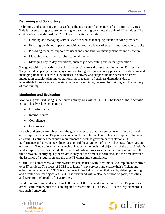#### <span id="page-19-0"></span>**Delivering and Supporting**

Delivering and supporting processes have the most control objectives of all COBIT activities. This is not surprising because delivering and supporting constitute the bulk of IT activities. The control objectives defined by COBIT for this activity include:

- Defining and managing service levels as well as managing outside service providers
- Ensuring continuous operations with appropriate levels of security and adequate capacity
- Providing technical support for users and configuration management for infrastructure
- Managing data as well as physical environment
- Managing day-to-day operations, such as job scheduling and output generation

The goals within this activity are similar to service areas discussed earlier in the ITIL section. They include capacity planning, system monitoring, defining security plans, and establishing and managing financial controls. Key metrics in delivery and support include percent of assets included in capacity planning operations, the frequency of business disruptions due to unavailable IT services, and the time between recognizing the need for training and the delivery of that training.

#### **Monitoring and Evaluating**

Monitoring and evaluating is the fourth activity area within COBIT. The focus of these activities is four closely related objectives:

- IT performance
- Internal control
- Compliance
- **Governance**

In each of these control objectives, the goal is to ensure that the service levels, standards, and other requirements on IT operations are actually met. Internal controls and compliance focus on ensuring IT activities meet audit requirements as well as government regulations. IT performance and governance objectives control the alignment of IT with business objectives and ensure that IT operations remain synchronized with the goals and objectives of the organization's leadership. Key metrics include the percent of critical processes that are actively monitored, the time between identifying a process deficiency and the time it is corrected, and the time between the issuance of a regulation and the time IT comes into compliance.

COBIT is a comprehensive framework that can be used with SOM models to implement controls over IT services. The focus of SOM is to identify key services and enable their efficient and effective management. COBIT is a framework that helps to meet that goal by defining thorough and detailed control objectives. COBIT is structured with a clear definition of goals, activities, and KPIs for the breadth of IT activities.

In addition to frameworks, such as ITIL and COBIT, that address the breadth of IT operations, other useful frameworks focus on targeted areas within IT. The ISO 17799 security standard is one such framework.



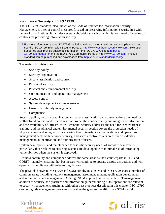#### <span id="page-20-0"></span>*Information Security and ISO 17799*

The ISO 17799 standard, also known as the Code of Practice for Information Security Management, is a set of control measures focused on preserving information security in a wide range of organizations. It includes several subdivisions, each of which is composed of a series of controls for preserving information security.

**EX** For more information about ISO 17799, including training material, articles, and compliant policies, see the ISO 17799 Information Security Portal at [http://www.computersecuritynow.com/.](http://www.computersecuritynow.com/) Two usersupported sites provide additional information—the ISO 17799 Guide at [http://iso-](http://iso-17799.safemode.org/)[17799.safemode.org/](http://iso-17799.safemode.org/) and the ISO 17799 Community Portal at htt[p://www.17799.com/.](http://www.17799.com/) The full standard can be purchased and downloaded from [http://17799.standardsdirect.org/.](http://17799.standardsdirect.org/)

The main subdivisions are:

- Security policy
- Security organization
- Asset classification and control
- Personnel security
- Physical and environmental security
- Communications and operations management
- Access control
- System development and maintenance
- Business continuity management
- Compliance

Security policy, security organization, and asset classification and control address the need for well-defined policies and procedures that protect the confidentiality and integrity of information and the availability of infrastructure. Personnel security addresses the need for user awareness training, and the physical and environmental security section covers the protection needs of physical assets and safeguards for ensuring their integrity. Communications and operations management deals with network security, and access control covers areas such as identity management, authentication, and authorization of users.

System development and maintenance focuses the security needs of software development, particularly those related to ensuring systems are developed with minimal risk of introducing vulnerabilities when the system is deployed.

Business continuity and compliance address the same areas as their counterparts in ITIL and COBIT—namely, ensuring that businesses will continue to operate despite disruptions and will operate in compliance with relevant regulations.

The parallels between ISO 17799 and SOM are obvious. SOM and ISO 17799 share a number of common areas, including network management, asset management, application development, and server and client management. Although SOM applies to other aspects of IT management in addition to security, the practices and information gathered during SOM operations are relevant to security management. Again, as with other best practices described in this chapter, ISO 17799 can help guide management processes to realize the greatest benefit from a SOM model.



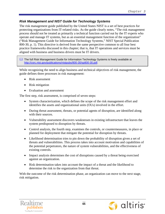#### <span id="page-21-0"></span>*Risk Management and NIST Guide for Technology Systems*

The risk management guide published by the United States NIST is a set of best practices for protecting organizations from IT-related risks. As the guide clearly notes, "The risk management process should not be treated as primarily a technical function carried out by the IT experts who operate and manage IT systems, but as an essential management function of the organization" ("Risk Management Guide for Information Technology Systems," NIST Special Publication 800-30, p. 1). This directive is derived from the same perspective common to all four best practice frameworks discussed in this chapter; that is, that IT operations and services must be aligned with business and business drivers must be IT drivers.

**La** The full Risk Management Guide for Information Technology Systems is freely available at <http://csrc.nist.gov/publications/nistpubs/800-30/sp800-30.pdf>.

While recognizing the need to align business and technical objectives of risk management, the guide defines three processes in risk management:

- Risk assessment
- Risk mitigation
- Evaluation and assessment

The first step, risk assessment, is comprised of seven steps:

- System characterization, which defines the scope of the risk management effort and identifies the assets and organizational units (OUs) involved in the effort.
- During threat assessment, threats, or potential agents of disruption, are identified along with their sources.
- Vulnerability assessment discovers weaknesses in existing infrastructure that leaves the system predisposed to disruption by threats.
- Control analysis, the fourth step, examines the controls, or countermeasures, in place or planned for deployment that mitigate the potential for disruption by threats.
- Likelihood determination tries to pin down the probability of disruption given a set of threats and vulnerabilities. This process takes into account motivation and capabilities of the potential perpetrators, the nature of system vulnerabilities, and the effectiveness of existing controls.
- Impact analysis determines the cost of disruptions caused by a threat being exercised against an organization.
- Risk determination takes into account the impact of a threat and the likelihood to determine the risk to the organization from that threat.

With the outcome of the risk determination phase, an organization can move to the next stage, risk mitigation.



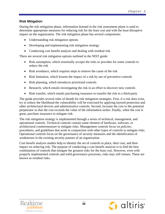#### <span id="page-22-0"></span>**Risk Mitigation**

During the risk mitigation phase, information learned in the risk assessment phase is used to determine appropriate measures for reducing risk for the least cost and with the least disruptive impact on the organization. The risk mitigation phase has several components:

- Understanding risk mitigation options
- Developing and implementing risk mitigation strategy
- Conducting cost benefit analysis and dealing with residual risk

There are several risk mitigation options outlined in the NIST guide:

- Risk assumption, which essentially accepts the risks or provides for some controls to reduce the risk
- Risk avoidance, which requires steps to remove the cause of the risk
- Risk limitation, which lessens the impact of a risk by use of preventive controls
- Risk planning, which introduces prioritized controls
- Research, which entails investigating the risk in an effort to discover new controls
- Risk transfer, which entails purchasing insurance to transfer the risk to a third-party

The guide provides several rules of thumb for risk mitigation strategies. First, if a risk does exist, try to reduce the likelihood the vulnerability will be exercised by applying layered protection and other architectural devices and administrative controls. Second, increase the cost to the potential perpetrator so that the cost exceeds the value of the information stolen. Finally, when the cost is great, purchase insurance to mitigate risk.

The risk mitigation strategy is implemented through a series of technical, management, and operational controls. Technical controls contain some element of hardware, software, or architectural countermeasure to mitigate risks. Management controls focus on policies, procedures, and guidelines that work in conjunction with other types of controls to mitigate risks. Operational controls focus on the governance of security measures and the identification of weaknesses in the existing security posture of an organization.

Cost benefit analysis studies help to identity the set of controls in place, their cost, and their impact on reducing risk. The purpose of conducting a cost benefit analysis is to find the best combination of controls that mitigate the greatest risks for the least cost. However, even with properly implemented controls and solid governance processes, risks may still remain. These are known as residual risks.



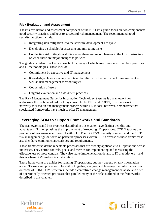#### <span id="page-23-0"></span>**Risk Evaluation and Assessment**

The risk evaluation and assessment component of the NIST risk guide focus on two components: good security practices and keys to successful risk management. The recommended good security practices include:

- Integrating risk mitigation into the software development life cycle
- Developing a schedule for assessing and mitigating risks
- Conducting risk mitigation studies when there are major changes in the IT infrastructure or when there are major changes to policies

The guide also identifies key success factors, many of which are common to other best practices and IT methodologies. These include:

- Commitment by executive and IT management
- Knowledgeable risk management team familiar with the particular IT environment as well as risk management methodologies
- Cooperation of users
- Ongoing evaluation and assessment practices

The Risk Management Guide for Information Technology Systems is a framework for addressing the problem of risk in IT systems. Unlike ITIL and COBIT, this framework is narrowly focused on one management process within IT. It does, however, demonstrate that specialized frameworks have much to offer IT management.

# **Leveraging SOM to Support Frameworks and Standards**

The frameworks and best practices described in this chapter have distinct benefits and advantages. ITIL emphasizes the improvement of executing IT operations. COBIT tackles the problems of governance and control within IT. The ISO 17799 security standard and the NIST risk management guide focus on particular processes within IT. As diverse as these frameworks are, they have common characteristics and requirements.

These frameworks define repeatable processes that are broadly applicable to IT operations across industries. They define controls, goals, and metrics for implementing and measuring the effectiveness of those controls. They also leave implementation details to IT practitioners—and this is where SOM makes its contribution.

These frameworks are guides for running IT operations, but they depend on raw information about IT assets and processes. The ability to gather, analyze, and leverage that information is an outcome of SOM. SOM structures include a centralized change management database and a set of operationally oriented processes that parallel many of the tasks outlined in the frameworks described in this chapter.